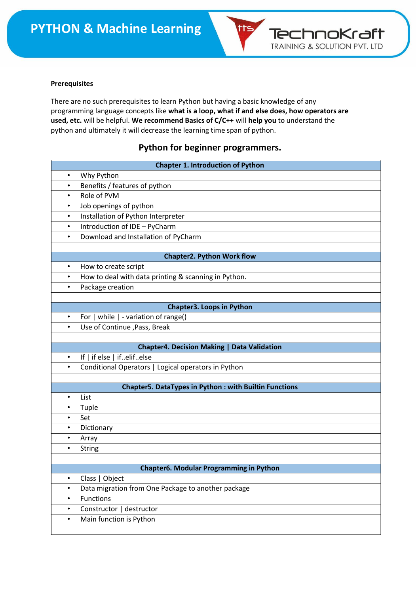

#### **Prerequisites**

There are no such prerequisites to learn Python but having a basic knowledge of any programming language concepts like **what is a loop, what if and else does, how operators are used, etc.** will be helpful. **We recommend Basics of C/C++** will **help you** to understand the python and ultimately it will decrease the learning time span of python.

### **Python for beginner programmers.**

| <b>Chapter 1. Introduction of Python</b> |                                                                          |  |
|------------------------------------------|--------------------------------------------------------------------------|--|
| $\bullet$                                | Why Python                                                               |  |
| $\bullet$                                | Benefits / features of python                                            |  |
| $\bullet$                                | Role of PVM                                                              |  |
| $\bullet$                                | Job openings of python                                                   |  |
| $\bullet$                                | Installation of Python Interpreter                                       |  |
| $\bullet$                                | Introduction of IDE - PyCharm                                            |  |
| $\bullet$                                | Download and Installation of PyCharm                                     |  |
|                                          |                                                                          |  |
|                                          | <b>Chapter2. Python Work flow</b>                                        |  |
| $\bullet$                                | How to create script                                                     |  |
| $\bullet$                                | How to deal with data printing & scanning in Python.                     |  |
| $\bullet$                                | Package creation                                                         |  |
|                                          |                                                                          |  |
| $\bullet$                                | <b>Chapter3. Loops in Python</b><br>For   while   - variation of range() |  |
| $\bullet$                                | Use of Continue , Pass, Break                                            |  |
|                                          |                                                                          |  |
|                                          | <b>Chapter4. Decision Making   Data Validation</b>                       |  |
| $\bullet$                                | If   if else   ifelifelse                                                |  |
| $\bullet$                                | Conditional Operators   Logical operators in Python                      |  |
|                                          |                                                                          |  |
|                                          | <b>Chapter5. DataTypes in Python: with Builtin Functions</b>             |  |
| $\bullet$                                | List                                                                     |  |
| $\bullet$                                | Tuple                                                                    |  |
| $\bullet$                                | Set                                                                      |  |
| $\bullet$                                | Dictionary                                                               |  |
| $\bullet$                                | Array                                                                    |  |
| $\bullet$                                | String                                                                   |  |
|                                          |                                                                          |  |
|                                          | Chapter6. Modular Programming in Python                                  |  |
| $\bullet$                                | Class   Object                                                           |  |
| $\bullet$                                | Data migration from One Package to another package                       |  |
| $\bullet$                                | <b>Functions</b>                                                         |  |
| ٠                                        | Constructor   destructor                                                 |  |
| $\bullet$                                | Main function is Python                                                  |  |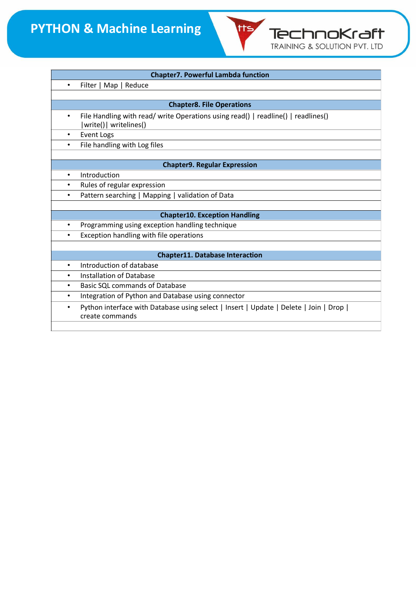| <b>Chapter7. Powerful Lambda function</b> |                                                                                                             |  |
|-------------------------------------------|-------------------------------------------------------------------------------------------------------------|--|
| $\bullet$                                 | Filter   Map   Reduce                                                                                       |  |
|                                           |                                                                                                             |  |
| <b>Chapter8. File Operations</b>          |                                                                                                             |  |
| $\bullet$                                 | File Handling with read/ write Operations using read()   readline()   readlines()<br> write()  writelines() |  |
| $\bullet$                                 | Event Logs                                                                                                  |  |
| $\bullet$                                 | File handling with Log files                                                                                |  |
|                                           |                                                                                                             |  |
|                                           | <b>Chapter9. Regular Expression</b>                                                                         |  |
| $\bullet$                                 | Introduction                                                                                                |  |
| $\bullet$                                 | Rules of regular expression                                                                                 |  |
| $\bullet$                                 | Pattern searching   Mapping   validation of Data                                                            |  |
|                                           |                                                                                                             |  |
|                                           | <b>Chapter10. Exception Handling</b>                                                                        |  |
| $\bullet$                                 | Programming using exception handling technique                                                              |  |
| $\bullet$                                 | Exception handling with file operations                                                                     |  |
|                                           |                                                                                                             |  |
|                                           | <b>Chapter11. Database Interaction</b>                                                                      |  |
| $\bullet$                                 | Introduction of database                                                                                    |  |
| $\bullet$                                 | <b>Installation of Database</b>                                                                             |  |
| $\bullet$                                 | <b>Basic SQL commands of Database</b>                                                                       |  |
| $\bullet$                                 | Integration of Python and Database using connector                                                          |  |
| $\bullet$                                 | Python interface with Database using select   Insert   Update   Delete   Join   Drop  <br>create commands   |  |
|                                           |                                                                                                             |  |

tts,

**Technokraft**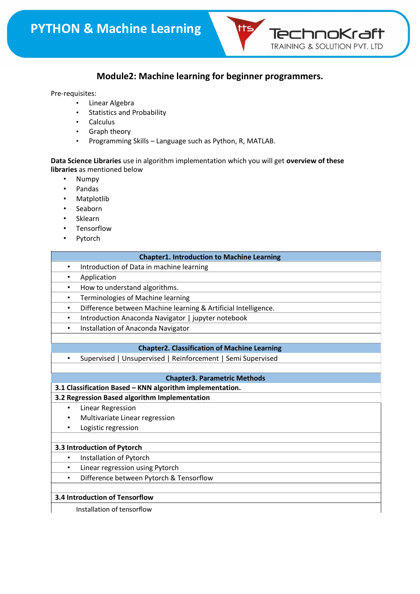

## **Module2: Machine learning for beginner programmers.**

#### Pre-requisites:

- Linear Algebra
- Statistics and Probability
- Calculus
- Graph theory
- Programming Skills Language such as Python, R, MATLAB.

**Data Science Libraries** use in algorithm implementation which you will get **overview of these libraries** as mentioned below

- Numpy
- Pandas
- Matplotlib
- Seaborn
- Sklearn
- Tensorflow
- Pytorch

| <b>Chapter1. Introduction to Machine Learning</b>                           |  |  |
|-----------------------------------------------------------------------------|--|--|
| Introduction of Data in machine learning<br>$\bullet$                       |  |  |
| Application<br>$\bullet$                                                    |  |  |
| How to understand algorithms.<br>$\bullet$                                  |  |  |
| Terminologies of Machine learning<br>$\bullet$                              |  |  |
| Difference between Machine learning & Artificial Intelligence.<br>$\bullet$ |  |  |
| Introduction Anaconda Navigator   jupyter notebook<br>$\bullet$             |  |  |
| Installation of Anaconda Navigator<br>$\bullet$                             |  |  |
|                                                                             |  |  |
| <b>Chapter2. Classification of Machine Learning</b>                         |  |  |
| Supervised   Unsupervised   Reinforcement   Semi Supervised                 |  |  |
|                                                                             |  |  |
| <b>Chapter3. Parametric Methods</b>                                         |  |  |
| 3.1 Classification Based - KNN algorithm implementation.                    |  |  |
| 3.2 Regression Based algorithm Implementation                               |  |  |
| Linear Regression<br>$\bullet$                                              |  |  |
| Multivariate Linear regression<br>$\bullet$                                 |  |  |
| Logistic regression<br>$\bullet$                                            |  |  |
|                                                                             |  |  |
| 3.3 Introduction of Pytorch                                                 |  |  |
| Installation of Pytorch<br>$\bullet$                                        |  |  |
| Linear regression using Pytorch<br>$\bullet$                                |  |  |
| Difference between Pytorch & Tensorflow<br>$\bullet$                        |  |  |
|                                                                             |  |  |
| 3.4 Introduction of Tensorflow                                              |  |  |

Installation of tensorflow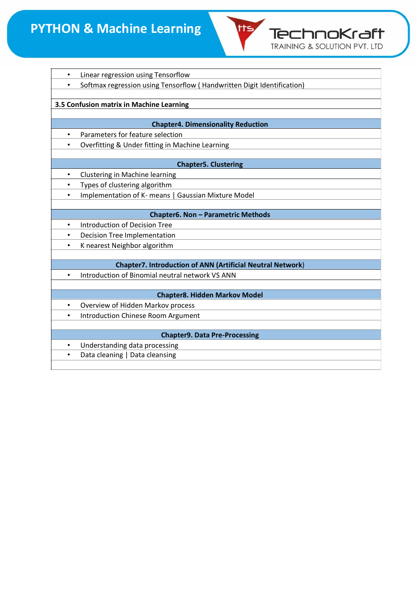

| ٠                                        | Linear regression using Tensorflow                                     |  |
|------------------------------------------|------------------------------------------------------------------------|--|
|                                          | Softmax regression using Tensorflow (Handwritten Digit Identification) |  |
|                                          |                                                                        |  |
| 3.5 Confusion matrix in Machine Learning |                                                                        |  |
|                                          |                                                                        |  |
|                                          | <b>Chapter4. Dimensionality Reduction</b>                              |  |
| $\bullet$                                | Parameters for feature selection                                       |  |
|                                          | Overfitting & Under fitting in Machine Learning                        |  |
|                                          |                                                                        |  |
|                                          | <b>Chapter5. Clustering</b>                                            |  |
| $\bullet$                                | Clustering in Machine learning                                         |  |
| $\bullet$                                | Types of clustering algorithm                                          |  |
| $\bullet$                                | Implementation of K- means   Gaussian Mixture Model                    |  |
|                                          |                                                                        |  |
|                                          | Chapter6. Non - Parametric Methods                                     |  |
| $\bullet$                                | Introduction of Decision Tree                                          |  |
| $\bullet$                                | <b>Decision Tree Implementation</b>                                    |  |
| $\bullet$                                | K nearest Neighbor algorithm                                           |  |
|                                          |                                                                        |  |
|                                          | <b>Chapter7. Introduction of ANN (Artificial Neutral Network)</b>      |  |
| $\bullet$                                | Introduction of Binomial neutral network VS ANN                        |  |
|                                          |                                                                        |  |
|                                          | <b>Chapter8. Hidden Markov Model</b>                                   |  |
| $\bullet$                                | Overview of Hidden Markov process                                      |  |
| $\bullet$                                | <b>Introduction Chinese Room Argument</b>                              |  |
|                                          |                                                                        |  |
|                                          | <b>Chapter9. Data Pre-Processing</b>                                   |  |
| $\bullet$                                | Understanding data processing                                          |  |
| $\bullet$                                | Data cleaning   Data cleansing                                         |  |
|                                          |                                                                        |  |